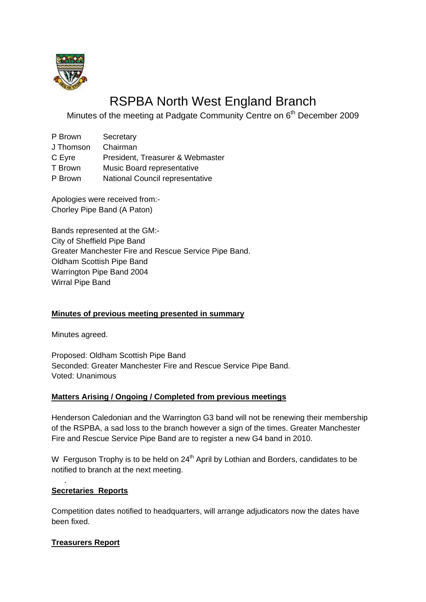

# RSPBA North West England Branch

Minutes of the meeting at Padgate Community Centre on 6<sup>th</sup> December 2009

| P Brown   | Secretary                        |
|-----------|----------------------------------|
| J Thomson | Chairman                         |
| C Eyre    | President, Treasurer & Webmaster |
| T Brown   | Music Board representative       |
| P Brown   | National Council representative  |

Apologies were received from:- Chorley Pipe Band (A Paton)

Bands represented at the GM:- City of Sheffield Pipe Band Greater Manchester Fire and Rescue Service Pipe Band. Oldham Scottish Pipe Band Warrington Pipe Band 2004 Wirral Pipe Band

# **Minutes of previous meeting presented in summary**

Minutes agreed.

Proposed: Oldham Scottish Pipe Band Seconded: Greater Manchester Fire and Rescue Service Pipe Band. Voted: Unanimous

# **Matters Arising / Ongoing / Completed from previous meetings**

Henderson Caledonian and the Warrington G3 band will not be renewing their membership of the RSPBA, a sad loss to the branch however a sign of the times. Greater Manchester Fire and Rescue Service Pipe Band are to register a new G4 band in 2010.

W Ferguson Trophy is to be held on  $24<sup>th</sup>$  April by Lothian and Borders, candidates to be notified to branch at the next meeting.

# **Secretaries Reports**

.

Competition dates notified to headquarters, will arrange adjudicators now the dates have been fixed.

# **Treasurers Report**